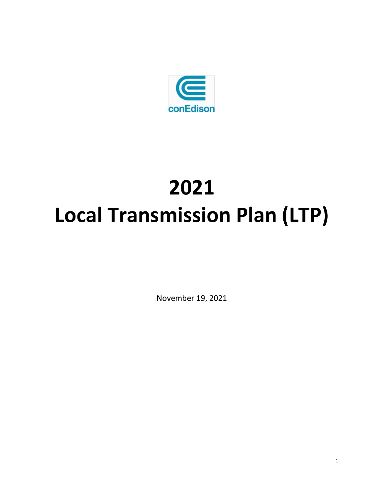

# **2021 Local Transmission Plan (LTP)**

November 19, 2021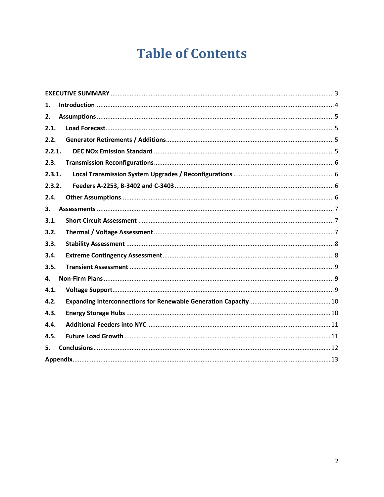## **Table of Contents**

| 1.     |  |
|--------|--|
| 2.     |  |
| 2.1.   |  |
| 2.2.   |  |
| 2.2.1. |  |
| 2.3.   |  |
| 2.3.1. |  |
| 2.3.2. |  |
| 2.4.   |  |
| 3.     |  |
| 3.1.   |  |
| 3.2.   |  |
| 3.3.   |  |
| 3.4.   |  |
| 3.5.   |  |
| 4.     |  |
| 4.1.   |  |
| 4.2.   |  |
| 4.3.   |  |
| 4.4.   |  |
| 4.5.   |  |
| 5.     |  |
|        |  |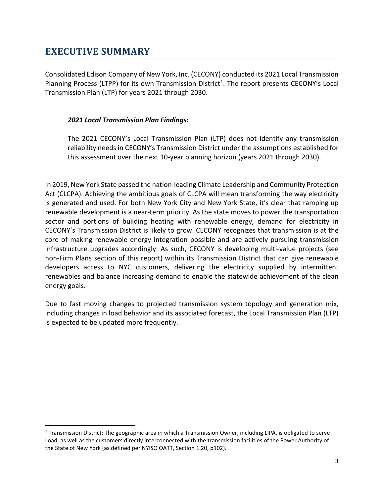### <span id="page-2-0"></span>**EXECUTIVE SUMMARY**

Consolidated Edison Company of New York, Inc. (CECONY) conducted its 2021 Local Transmission Planning Process (LTPP) for its own Transmission District<sup>1</sup>. The report presents CECONY's Local Transmission Plan (LTP) for years 2021 through 2030.

#### *2021 Local Transmission Plan Findings:*

The 2021 CECONY's Local Transmission Plan (LTP) does not identify any transmission reliability needs in CECONY's Transmission District under the assumptions established for this assessment over the next 10-year planning horizon (years 2021 through 2030).

In 2019, New York State passed the nation-leading Climate Leadership and Community Protection Act (CLCPA). Achieving the ambitious goals of CLCPA will mean transforming the way electricity is generated and used. For both New York City and New York State, it's clear that ramping up renewable development is a near-term priority. As the state moves to power the transportation sector and portions of building heating with renewable energy, demand for electricity in CECONY's Transmission District is likely to grow. CECONY recognizes that transmission is at the core of making renewable energy integration possible and are actively pursuing transmission infrastructure upgrades accordingly. As such, CECONY is developing multi-value projects (see non-Firm Plans section of this report) within its Transmission District that can give renewable developers access to NYC customers, delivering the electricity supplied by intermittent renewables and balance increasing demand to enable the statewide achievement of the clean energy goals.

Due to fast moving changes to projected transmission system topology and generation mix, including changes in load behavior and its associated forecast, the Local Transmission Plan (LTP) is expected to be updated more frequently.

<span id="page-2-1"></span><sup>&</sup>lt;sup>1</sup> Transmission District: The geographic area in which a Transmission Owner, including LIPA, is obligated to serve Load, as well as the customers directly interconnected with the transmission facilities of the Power Authority of the State of New York (as defined per NYISO OATT, Section 1.20, p102).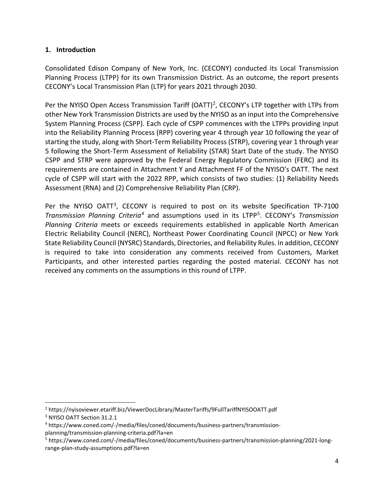#### <span id="page-3-0"></span>**1. Introduction**

Consolidated Edison Company of New York, Inc. (CECONY) conducted its Local Transmission Planning Process (LTPP) for its own Transmission District. As an outcome, the report presents CECONY's Local Transmission Plan (LTP) for years 2021 through 2030.

Per the NYISO Open Access Transmission Tariff (OATT)<sup>2</sup>, CECONY's LTP together with LTPs from other New York Transmission Districts are used by the NYISO as an input into the Comprehensive System Planning Process (CSPP). Each cycle of CSPP commences with the LTPPs providing input into the Reliability Planning Process (RPP) covering year 4 through year 10 following the year of starting the study, along with Short-Term Reliability Process (STRP), covering year 1 through year 5 following the Short-Term Assessment of Reliability (STAR) Start Date of the study. The NYISO CSPP and STRP were approved by the Federal Energy Regulatory Commission (FERC) and its requirements are contained in Attachment Y and Attachment FF of the NYISO's OATT. The next cycle of CSPP will start with the 2022 RPP, which consists of two studies: (1) Reliability Needs Assessment (RNA) and (2) Comprehensive Reliability Plan (CRP).

Per the NYISO OAT[T3,](#page-3-2) CECONY is required to post on its website Specification TP-7100 *Transmission Planning Criteria*[4](#page-3-3) and assumptions used in its LTP[P5](#page-3-4). CECONY's *Transmission Planning Criteria* meets or exceeds requirements established in applicable North American Electric Reliability Council (NERC), Northeast Power Coordinating Council (NPCC) or New York State Reliability Council (NYSRC) Standards, Directories, and Reliability Rules. In addition, CECONY is required to take into consideration any comments received from Customers, Market Participants, and other interested parties regarding the posted material. CECONY has not received any comments on the assumptions in this round of LTPP.

<span id="page-3-1"></span><sup>2</sup> https://nyisoviewer.etariff.biz/ViewerDocLibrary/MasterTariffs/9FullTariffNYISOOATT.pdf

<span id="page-3-2"></span><sup>3</sup> NYISO OATT Section 31.2.1

<span id="page-3-3"></span><sup>4</sup> https://www.coned.com/-/media/files/coned/documents/business-partners/transmissionplanning/transmission-planning-criteria.pdf?la=en

<span id="page-3-4"></span><sup>5</sup> https://www.coned.com/-/media/files/coned/documents/business-partners/transmission-planning/2021-longrange-plan-study-assumptions.pdf?la=en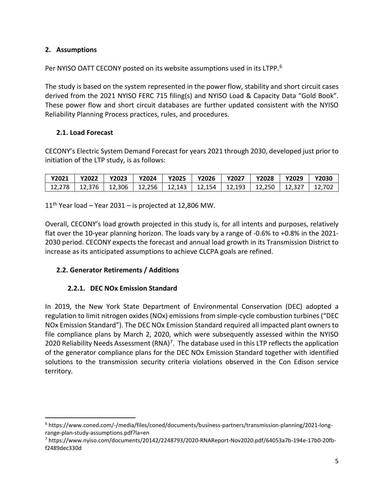#### <span id="page-4-0"></span>**2. Assumptions**

Per NYISO OATT CECONY posted on its website assumptions used in its LTPP.<sup>[6](#page-4-4)</sup>

The study is based on the system represented in the power flow, stability and short circuit cases derived from the 2021 NYISO FERC 715 filing(s) and NYISO Load & Capacity Data "Gold Book". These power flow and short circuit databases are further updated consistent with the NYISO Reliability Planning Process practices, rules, and procedures.

#### <span id="page-4-1"></span>**2.1. Load Forecast**

CECONY's Electric System Demand Forecast for years 2021 through 2030, developed just prior to initiation of the LTP study, is as follows:

| Y2021  | <b>Y2022</b> | Y2023 | Y2024 | Y2025 | Y2026                                      | <b>Y2027</b> | <b>Y2028</b> | Y2029    | Y2030  |
|--------|--------------|-------|-------|-------|--------------------------------------------|--------------|--------------|----------|--------|
| 12.278 | 12.376       |       |       |       | 12,306   12,256   12,143   12,154   12,193 |              | 12.250       | - 12.327 | 12.702 |

 $11<sup>th</sup>$  Year load – Year 2031 – is projected at 12,806 MW.

Overall, CECONY's load growth projected in this study is, for all intents and purposes, relatively flat over the 10-year planning horizon. The loads vary by a range of -0.6% to +0.8% in the 2021- 2030 period. CECONY expects the forecast and annual load growth in its Transmission District to increase as its anticipated assumptions to achieve CLCPA goals are refined.

#### <span id="page-4-2"></span>**2.2. Generator Retirements / Additions**

#### **2.2.1. DEC NOx Emission Standard**

<span id="page-4-3"></span>In 2019, the New York State Department of Environmental Conservation (DEC) adopted a regulation to limit nitrogen oxides (NOx) emissions from simple-cycle combustion turbines ("DEC NOx Emission Standard"). The DEC NOx Emission Standard required all impacted plant owners to file compliance plans by March 2, 2020, which were subsequently assessed within the NYISO 2020 Reliability Needs Assessment  $(RNA)^7$  $(RNA)^7$ . The database used in this LTP reflects the application of the generator compliance plans for the DEC NOx Emission Standard together with identified solutions to the transmission security criteria violations observed in the Con Edison service territory.

<span id="page-4-4"></span><sup>6</sup> https://www.coned.com/-/media/files/coned/documents/business-partners/transmission-planning/2021-longrange-plan-study-assumptions.pdf?la=en

<span id="page-4-5"></span><sup>7</sup> https://www.nyiso.com/documents/20142/2248793/2020-RNAReport-Nov2020.pdf/64053a7b-194e-17b0-20fbf2489dec330d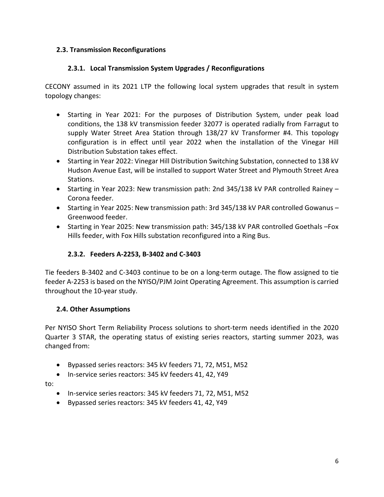#### <span id="page-5-0"></span>**2.3. Transmission Reconfigurations**

#### **2.3.1. Local Transmission System Upgrades / Reconfigurations**

<span id="page-5-1"></span>CECONY assumed in its 2021 LTP the following local system upgrades that result in system topology changes:

- Starting in Year 2021: For the purposes of Distribution System, under peak load conditions, the 138 kV transmission feeder 32077 is operated radially from Farragut to supply Water Street Area Station through 138/27 kV Transformer #4. This topology configuration is in effect until year 2022 when the installation of the Vinegar Hill Distribution Substation takes effect.
- Starting in Year 2022: Vinegar Hill Distribution Switching Substation, connected to 138 kV Hudson Avenue East, will be installed to support Water Street and Plymouth Street Area Stations.
- Starting in Year 2023: New transmission path: 2nd 345/138 kV PAR controlled Rainey Corona feeder.
- Starting in Year 2025: New transmission path: 3rd 345/138 kV PAR controlled Gowanus Greenwood feeder.
- Starting in Year 2025: New transmission path: 345/138 kV PAR controlled Goethals –Fox Hills feeder, with Fox Hills substation reconfigured into a Ring Bus.

#### **2.3.2. Feeders A-2253, B-3402 and C-3403**

<span id="page-5-2"></span>Tie feeders B-3402 and C-3403 continue to be on a long-term outage. The flow assigned to tie feeder A-2253 is based on the NYISO/PJM Joint Operating Agreement. This assumption is carried throughout the 10-year study.

#### <span id="page-5-3"></span>**2.4. Other Assumptions**

Per NYISO Short Term Reliability Process solutions to short-term needs identified in the 2020 Quarter 3 STAR, the operating status of existing series reactors, starting summer 2023, was changed from:

- Bypassed series reactors: 345 kV feeders 71, 72, M51, M52
- In-service series reactors: 345 kV feeders 41, 42, Y49

to:

- In-service series reactors: 345 kV feeders 71, 72, M51, M52
- Bypassed series reactors: 345 kV feeders 41, 42, Y49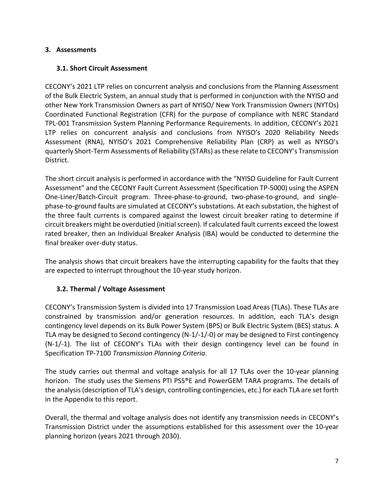#### <span id="page-6-0"></span>**3. Assessments**

#### <span id="page-6-1"></span>**3.1. Short Circuit Assessment**

CECONY's 2021 LTP relies on concurrent analysis and conclusions from the Planning Assessment of the Bulk Electric System, an annual study that is performed in conjunction with the NYISO and other New York Transmission Owners as part of NYISO/ New York Transmission Owners (NYTOs) Coordinated Functional Registration (CFR) for the purpose of compliance with NERC Standard TPL-001 Transmission System Planning Performance Requirements. In addition, CECONY's 2021 LTP relies on concurrent analysis and conclusions from NYISO's 2020 Reliability Needs Assessment (RNA), NYISO's 2021 Comprehensive Reliability Plan (CRP) as well as NYISO's quarterly Short-Term Assessments of Reliability (STARs) as these relate to CECONY's Transmission District.

The short circuit analysis is performed in accordance with the "NYISO Guideline for Fault Current Assessment" and the CECONY Fault Current Assessment (Specification TP-5000) using the ASPEN One-Liner/Batch-Circuit program. Three-phase-to-ground, two-phase-to-ground, and singlephase-to-ground faults are simulated at CECONY's substations. At each substation, the highest of the three fault currents is compared against the lowest circuit breaker rating to determine if circuit breakers might be overdutied (initial screen). If calculated fault currents exceed the lowest rated breaker, then an Individual Breaker Analysis (IBA) would be conducted to determine the final breaker over-duty status.

The analysis shows that circuit breakers have the interrupting capability for the faults that they are expected to interrupt throughout the 10-year study horizon.

#### <span id="page-6-2"></span>**3.2. Thermal / Voltage Assessment**

CECONY's Transmission System is divided into 17 Transmission Load Areas (TLAs). These TLAs are constrained by transmission and/or generation resources. In addition, each TLA's design contingency level depends on its Bulk Power System (BPS) or Bulk Electric System (BES) status. A TLA may be designed to Second contingency (N-1/-1/-0) or may be designed to First contingency (N-1/-1). The list of CECONY's TLAs with their design contingency level can be found in Specification TP-7100 *Transmission Planning Criteria*.

The study carries out thermal and voltage analysis for all 17 TLAs over the 10-year planning horizon. The study uses the Siemens PTI PSS®E and PowerGEM TARA programs. The details of the analysis(description of TLA's design, controlling contingencies, etc.) for each TLA are set forth in the Appendix to this report.

Overall, the thermal and voltage analysis does not identify any transmission needs in CECONY's Transmission District under the assumptions established for this assessment over the 10-year planning horizon (years 2021 through 2030).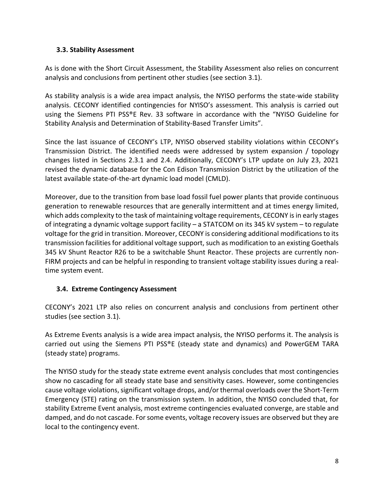#### <span id="page-7-0"></span>**3.3. Stability Assessment**

As is done with the Short Circuit Assessment, the Stability Assessment also relies on concurrent analysis and conclusions from pertinent other studies (see section 3.1).

As stability analysis is a wide area impact analysis, the NYISO performs the state-wide stability analysis. CECONY identified contingencies for NYISO's assessment. This analysis is carried out using the Siemens PTI PSS®E Rev. 33 software in accordance with the "NYISO Guideline for Stability Analysis and Determination of Stability-Based Transfer Limits".

Since the last issuance of CECONY's LTP, NYISO observed stability violations within CECONY's Transmission District. The identified needs were addressed by system expansion / topology changes listed in Sections 2.3.1 and 2.4. Additionally, CECONY's LTP update on July 23, 2021 revised the dynamic database for the Con Edison Transmission District by the utilization of the latest available state-of-the-art dynamic load model (CMLD).

Moreover, due to the transition from base load fossil fuel power plants that provide continuous generation to renewable resources that are generally intermittent and at times energy limited, which adds complexity to the task of maintaining voltage requirements, CECONY is in early stages of integrating a dynamic voltage support facility – a STATCOM on its 345 kV system – to regulate voltage for the grid in transition. Moreover, CECONY is considering additional modifications to its transmission facilities for additional voltage support, such as modification to an existing Goethals 345 kV Shunt Reactor R26 to be a switchable Shunt Reactor. These projects are currently non-FIRM projects and can be helpful in responding to transient voltage stability issues during a realtime system event.

#### <span id="page-7-1"></span>**3.4. Extreme Contingency Assessment**

CECONY's 2021 LTP also relies on concurrent analysis and conclusions from pertinent other studies (see section 3.1).

As Extreme Events analysis is a wide area impact analysis, the NYISO performs it. The analysis is carried out using the Siemens PTI PSS®E (steady state and dynamics) and PowerGEM TARA (steady state) programs.

The NYISO study for the steady state extreme event analysis concludes that most contingencies show no cascading for all steady state base and sensitivity cases. However, some contingencies cause voltage violations, significant voltage drops, and/or thermal overloads over the Short-Term Emergency (STE) rating on the transmission system. In addition, the NYISO concluded that, for stability Extreme Event analysis, most extreme contingencies evaluated converge, are stable and damped, and do not cascade. For some events, voltage recovery issues are observed but they are local to the contingency event.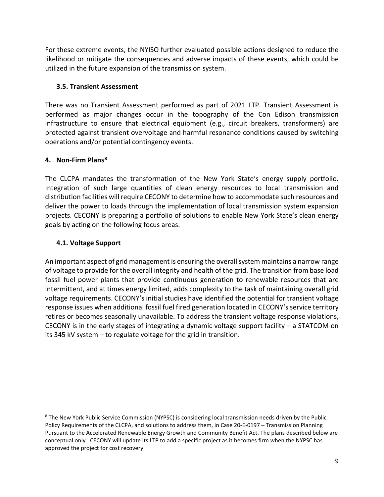For these extreme events, the NYISO further evaluated possible actions designed to reduce the likelihood or mitigate the consequences and adverse impacts of these events, which could be utilized in the future expansion of the transmission system.

#### <span id="page-8-0"></span>**3.5. Transient Assessment**

There was no Transient Assessment performed as part of 2021 LTP. Transient Assessment is performed as major changes occur in the topography of the Con Edison transmission infrastructure to ensure that electrical equipment (e.g., circuit breakers, transformers) are protected against transient overvoltage and harmful resonance conditions caused by switching operations and/or potential contingency events.

#### <span id="page-8-1"></span>**4. Non-Firm Plans[8](#page-8-3)**

The CLCPA mandates the transformation of the New York State's energy supply portfolio. Integration of such large quantities of clean energy resources to local transmission and distribution facilities will require CECONY to determine how to accommodate such resources and deliver the power to loads through the implementation of local transmission system expansion projects. CECONY is preparing a portfolio of solutions to enable New York State's clean energy goals by acting on the following focus areas:

#### <span id="page-8-2"></span>**4.1. Voltage Support**

An important aspect of grid management is ensuring the overall system maintains a narrow range of voltage to provide for the overall integrity and health of the grid. The transition from base load fossil fuel power plants that provide continuous generation to renewable resources that are intermittent, and at times energy limited, adds complexity to the task of maintaining overall grid voltage requirements. CECONY's initial studies have identified the potential for transient voltage response issues when additional fossil fuel fired generation located in CECONY's service territory retires or becomes seasonally unavailable. To address the transient voltage response violations, CECONY is in the early stages of integrating a dynamic voltage support facility – a STATCOM on its 345 kV system – to regulate voltage for the grid in transition.

<span id="page-8-3"></span><sup>&</sup>lt;sup>8</sup> The New York Public Service Commission (NYPSC) is considering local transmission needs driven by the Public Policy Requirements of the CLCPA, and solutions to address them, in Case 20-E-0197 – Transmission Planning Pursuant to the Accelerated Renewable Energy Growth and Community Benefit Act. The plans described below are conceptual only. CECONY will update its LTP to add a specific project as it becomes firm when the NYPSC has approved the project for cost recovery.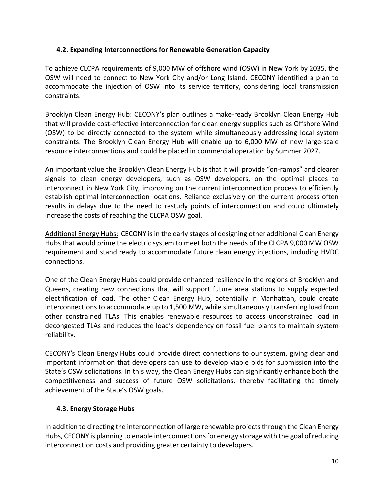#### <span id="page-9-0"></span>**4.2. Expanding Interconnections for Renewable Generation Capacity**

To achieve CLCPA requirements of 9,000 MW of offshore wind (OSW) in New York by 2035, the OSW will need to connect to New York City and/or Long Island. CECONY identified a plan to accommodate the injection of OSW into its service territory, considering local transmission constraints.

Brooklyn Clean Energy Hub: CECONY's plan outlines a make-ready Brooklyn Clean Energy Hub that will provide cost-effective interconnection for clean energy supplies such as Offshore Wind (OSW) to be directly connected to the system while simultaneously addressing local system constraints. The Brooklyn Clean Energy Hub will enable up to 6,000 MW of new large-scale resource interconnections and could be placed in commercial operation by Summer 2027.

An important value the Brooklyn Clean Energy Hub is that it will provide "on-ramps" and clearer signals to clean energy developers, such as OSW developers, on the optimal places to interconnect in New York City, improving on the current interconnection process to efficiently establish optimal interconnection locations. Reliance exclusively on the current process often results in delays due to the need to restudy points of interconnection and could ultimately increase the costs of reaching the CLCPA OSW goal.

Additional Energy Hubs: CECONY is in the early stages of designing other additional Clean Energy Hubs that would prime the electric system to meet both the needs of the CLCPA 9,000 MW OSW requirement and stand ready to accommodate future clean energy injections, including HVDC connections.

One of the Clean Energy Hubs could provide enhanced resiliency in the regions of Brooklyn and Queens, creating new connections that will support future area stations to supply expected electrification of load. The other Clean Energy Hub, potentially in Manhattan, could create interconnections to accommodate up to 1,500 MW, while simultaneously transferring load from other constrained TLAs. This enables renewable resources to access unconstrained load in decongested TLAs and reduces the load's dependency on fossil fuel plants to maintain system reliability.

CECONY's Clean Energy Hubs could provide direct connections to our system, giving clear and important information that developers can use to develop viable bids for submission into the State's OSW solicitations. In this way, the Clean Energy Hubs can significantly enhance both the competitiveness and success of future OSW solicitations, thereby facilitating the timely achievement of the State's OSW goals.

#### <span id="page-9-1"></span>**4.3. Energy Storage Hubs**

In addition to directing the interconnection of large renewable projects through the Clean Energy Hubs, CECONY is planning to enable interconnections for energy storage with the goal of reducing interconnection costs and providing greater certainty to developers.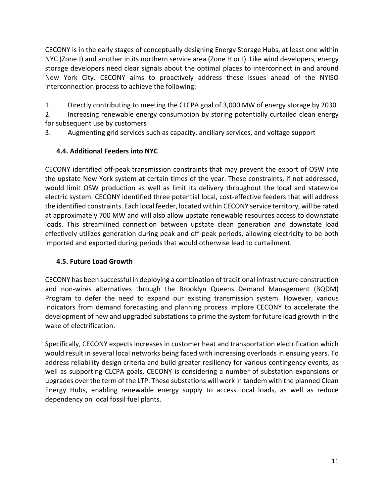CECONY is in the early stages of conceptually designing Energy Storage Hubs, at least one within NYC (Zone J) and another in its northern service area (Zone H or I). Like wind developers, energy storage developers need clear signals about the optimal places to interconnect in and around New York City. CECONY aims to proactively address these issues ahead of the NYISO interconnection process to achieve the following:

1. Directly contributing to meeting the CLCPA goal of 3,000 MW of energy storage by 2030

2. Increasing renewable energy consumption by storing potentially curtailed clean energy for subsequent use by customers

3. Augmenting grid services such as capacity, ancillary services, and voltage support

#### <span id="page-10-0"></span>**4.4. Additional Feeders into NYC**

CECONY identified off-peak transmission constraints that may prevent the export of OSW into the upstate New York system at certain times of the year. These constraints, if not addressed, would limit OSW production as well as limit its delivery throughout the local and statewide electric system. CECONY identified three potential local, cost-effective feeders that will address the identified constraints. Each local feeder, located within CECONY service territory, will be rated at approximately 700 MW and will also allow upstate renewable resources access to downstate loads. This streamlined connection between upstate clean generation and downstate load effectively utilizes generation during peak and off-peak periods, allowing electricity to be both imported and exported during periods that would otherwise lead to curtailment.

#### <span id="page-10-1"></span>**4.5. Future Load Growth**

CECONY has been successful in deploying a combination of traditional infrastructure construction and non-wires alternatives through the Brooklyn Queens Demand Management (BQDM) Program to defer the need to expand our existing transmission system. However, various indicators from demand forecasting and planning process implore CECONY to accelerate the development of new and upgraded substations to prime the system for future load growth in the wake of electrification.

Specifically, CECONY expects increases in customer heat and transportation electrification which would result in several local networks being faced with increasing overloads in ensuing years. To address reliability design criteria and build greater resiliency for various contingency events, as well as supporting CLCPA goals, CECONY is considering a number of substation expansions or upgrades over the term of the LTP. These substations will work in tandem with the planned Clean Energy Hubs, enabling renewable energy supply to access local loads, as well as reduce dependency on local fossil fuel plants.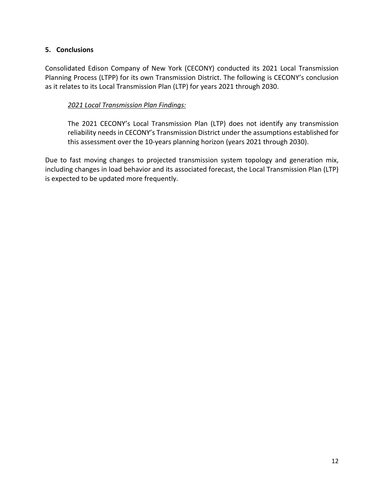#### <span id="page-11-0"></span>**5. Conclusions**

Consolidated Edison Company of New York (CECONY) conducted its 2021 Local Transmission Planning Process (LTPP) for its own Transmission District. The following is CECONY's conclusion as it relates to its Local Transmission Plan (LTP) for years 2021 through 2030.

#### *2021 Local Transmission Plan Findings:*

The 2021 CECONY's Local Transmission Plan (LTP) does not identify any transmission reliability needs in CECONY's Transmission District under the assumptions established for this assessment over the 10-years planning horizon (years 2021 through 2030).

Due to fast moving changes to projected transmission system topology and generation mix, including changes in load behavior and its associated forecast, the Local Transmission Plan (LTP) is expected to be updated more frequently.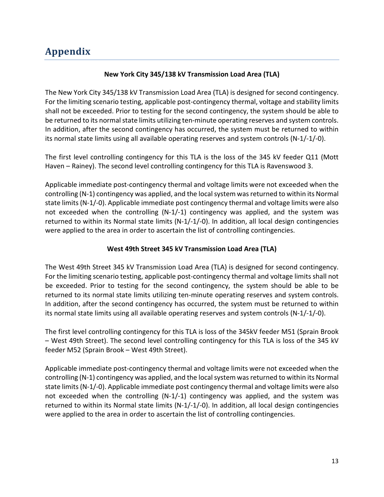#### **New York City 345/138 kV Transmission Load Area (TLA)**

<span id="page-12-0"></span>The New York City 345/138 kV Transmission Load Area (TLA) is designed for second contingency. For the limiting scenario testing, applicable post-contingency thermal, voltage and stability limits shall not be exceeded. Prior to testing for the second contingency, the system should be able to be returned to its normal state limits utilizing ten-minute operating reserves and system controls. In addition, after the second contingency has occurred, the system must be returned to within its normal state limits using all available operating reserves and system controls (N-1/-1/-0).

The first level controlling contingency for this TLA is the loss of the 345 kV feeder Q11 (Mott Haven – Rainey). The second level controlling contingency for this TLA is Ravenswood 3.

Applicable immediate post-contingency thermal and voltage limits were not exceeded when the controlling (N-1) contingency was applied, and the local system was returned to within its Normal state limits(N-1/-0). Applicable immediate post contingency thermal and voltage limits were also not exceeded when the controlling (N-1/-1) contingency was applied, and the system was returned to within its Normal state limits (N-1/-1/-0). In addition, all local design contingencies were applied to the area in order to ascertain the list of controlling contingencies.

#### **West 49th Street 345 kV Transmission Load Area (TLA)**

The West 49th Street 345 kV Transmission Load Area (TLA) is designed for second contingency. For the limiting scenario testing, applicable post-contingency thermal and voltage limits shall not be exceeded. Prior to testing for the second contingency, the system should be able to be returned to its normal state limits utilizing ten-minute operating reserves and system controls. In addition, after the second contingency has occurred, the system must be returned to within its normal state limits using all available operating reserves and system controls (N-1/-1/-0).

The first level controlling contingency for this TLA is loss of the 345kV feeder M51 (Sprain Brook – West 49th Street). The second level controlling contingency for this TLA is loss of the 345 kV feeder M52 (Sprain Brook – West 49th Street).

Applicable immediate post-contingency thermal and voltage limits were not exceeded when the controlling (N-1) contingency was applied, and the local system was returned to within its Normal state limits(N-1/-0). Applicable immediate post contingency thermal and voltage limits were also not exceeded when the controlling (N-1/-1) contingency was applied, and the system was returned to within its Normal state limits (N-1/-1/-0). In addition, all local design contingencies were applied to the area in order to ascertain the list of controlling contingencies.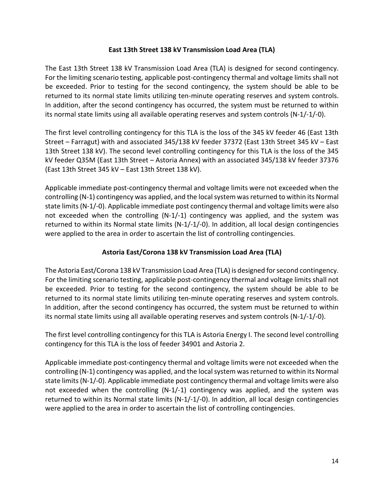#### **East 13th Street 138 kV Transmission Load Area (TLA)**

The East 13th Street 138 kV Transmission Load Area (TLA) is designed for second contingency. For the limiting scenario testing, applicable post-contingency thermal and voltage limits shall not be exceeded. Prior to testing for the second contingency, the system should be able to be returned to its normal state limits utilizing ten-minute operating reserves and system controls. In addition, after the second contingency has occurred, the system must be returned to within its normal state limits using all available operating reserves and system controls (N-1/-1/-0).

The first level controlling contingency for this TLA is the loss of the 345 kV feeder 46 (East 13th Street – Farragut) with and associated 345/138 kV feeder 37372 (East 13th Street 345 kV – East 13th Street 138 kV). The second level controlling contingency for this TLA is the loss of the 345 kV feeder Q35M (East 13th Street – Astoria Annex) with an associated 345/138 kV feeder 37376 (East 13th Street 345 kV – East 13th Street 138 kV).

Applicable immediate post-contingency thermal and voltage limits were not exceeded when the controlling (N-1) contingency was applied, and the local system was returned to within its Normal state limits(N-1/-0). Applicable immediate post contingency thermal and voltage limits were also not exceeded when the controlling (N-1/-1) contingency was applied, and the system was returned to within its Normal state limits (N-1/-1/-0). In addition, all local design contingencies were applied to the area in order to ascertain the list of controlling contingencies.

#### **Astoria East/Corona 138 kV Transmission Load Area (TLA)**

The Astoria East/Corona 138 kV Transmission Load Area (TLA) is designed for second contingency. For the limiting scenario testing, applicable post-contingency thermal and voltage limits shall not be exceeded. Prior to testing for the second contingency, the system should be able to be returned to its normal state limits utilizing ten-minute operating reserves and system controls. In addition, after the second contingency has occurred, the system must be returned to within its normal state limits using all available operating reserves and system controls (N-1/-1/-0).

The first level controlling contingency for this TLA is Astoria Energy I. The second level controlling contingency for this TLA is the loss of feeder 34901 and Astoria 2.

Applicable immediate post-contingency thermal and voltage limits were not exceeded when the controlling (N-1) contingency was applied, and the local system was returned to within its Normal state limits(N-1/-0). Applicable immediate post contingency thermal and voltage limits were also not exceeded when the controlling (N-1/-1) contingency was applied, and the system was returned to within its Normal state limits (N-1/-1/-0). In addition, all local design contingencies were applied to the area in order to ascertain the list of controlling contingencies.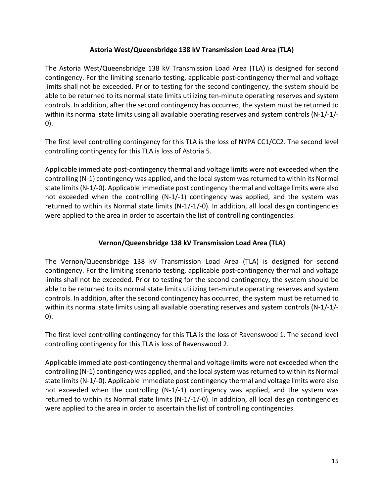#### **Astoria West/Queensbridge 138 kV Transmission Load Area (TLA)**

The Astoria West/Queensbridge 138 kV Transmission Load Area (TLA) is designed for second contingency. For the limiting scenario testing, applicable post-contingency thermal and voltage limits shall not be exceeded. Prior to testing for the second contingency, the system should be able to be returned to its normal state limits utilizing ten-minute operating reserves and system controls. In addition, after the second contingency has occurred, the system must be returned to within its normal state limits using all available operating reserves and system controls (N-1/-1/-0).

The first level controlling contingency for this TLA is the loss of NYPA CC1/CC2. The second level controlling contingency for this TLA is loss of Astoria 5.

Applicable immediate post-contingency thermal and voltage limits were not exceeded when the controlling (N-1) contingency was applied, and the local system was returned to within its Normal state limits(N-1/-0). Applicable immediate post contingency thermal and voltage limits were also not exceeded when the controlling (N-1/-1) contingency was applied, and the system was returned to within its Normal state limits (N-1/-1/-0). In addition, all local design contingencies were applied to the area in order to ascertain the list of controlling contingencies.

#### **Vernon/Queensbridge 138 kV Transmission Load Area (TLA)**

The Vernon/Queensbridge 138 kV Transmission Load Area (TLA) is designed for second contingency. For the limiting scenario testing, applicable post-contingency thermal and voltage limits shall not be exceeded. Prior to testing for the second contingency, the system should be able to be returned to its normal state limits utilizing ten-minute operating reserves and system controls. In addition, after the second contingency has occurred, the system must be returned to within its normal state limits using all available operating reserves and system controls (N-1/-1/-0).

The first level controlling contingency for this TLA is the loss of Ravenswood 1. The second level controlling contingency for this TLA is loss of Ravenswood 2.

Applicable immediate post-contingency thermal and voltage limits were not exceeded when the controlling (N-1) contingency was applied, and the local system was returned to within its Normal state limits(N-1/-0). Applicable immediate post contingency thermal and voltage limits were also not exceeded when the controlling (N-1/-1) contingency was applied, and the system was returned to within its Normal state limits (N-1/-1/-0). In addition, all local design contingencies were applied to the area in order to ascertain the list of controlling contingencies.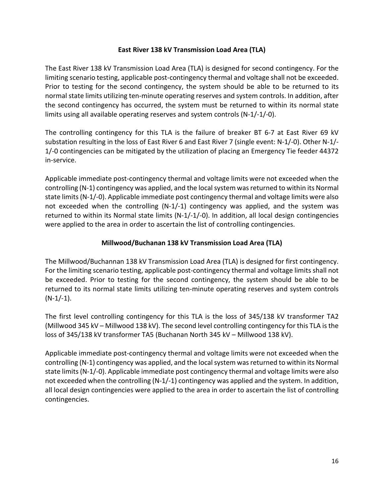#### **East River 138 kV Transmission Load Area (TLA)**

The East River 138 kV Transmission Load Area (TLA) is designed for second contingency. For the limiting scenario testing, applicable post-contingency thermal and voltage shall not be exceeded. Prior to testing for the second contingency, the system should be able to be returned to its normal state limits utilizing ten-minute operating reserves and system controls. In addition, after the second contingency has occurred, the system must be returned to within its normal state limits using all available operating reserves and system controls (N-1/-1/-0).

The controlling contingency for this TLA is the failure of breaker BT 6-7 at East River 69 kV substation resulting in the loss of East River 6 and East River 7 (single event: N-1/-0). Other N-1/- 1/-0 contingencies can be mitigated by the utilization of placing an Emergency Tie feeder 44372 in-service.

Applicable immediate post-contingency thermal and voltage limits were not exceeded when the controlling (N-1) contingency was applied, and the local system was returned to within its Normal state limits(N-1/-0). Applicable immediate post contingency thermal and voltage limits were also not exceeded when the controlling (N-1/-1) contingency was applied, and the system was returned to within its Normal state limits (N-1/-1/-0). In addition, all local design contingencies were applied to the area in order to ascertain the list of controlling contingencies.

#### **Millwood/Buchanan 138 kV Transmission Load Area (TLA)**

The Millwood/Buchannan 138 kV Transmission Load Area (TLA) is designed for first contingency. For the limiting scenario testing, applicable post-contingency thermal and voltage limits shall not be exceeded. Prior to testing for the second contingency, the system should be able to be returned to its normal state limits utilizing ten-minute operating reserves and system controls  $(N-1/-1)$ .

The first level controlling contingency for this TLA is the loss of 345/138 kV transformer TA2 (Millwood 345 kV – Millwood 138 kV). The second level controlling contingency for this TLA is the loss of 345/138 kV transformer TA5 (Buchanan North 345 kV – Millwood 138 kV).

Applicable immediate post-contingency thermal and voltage limits were not exceeded when the controlling (N-1) contingency was applied, and the local system wasreturned to within its Normal state limits(N-1/-0). Applicable immediate post contingency thermal and voltage limits were also not exceeded when the controlling (N-1/-1) contingency was applied and the system. In addition, all local design contingencies were applied to the area in order to ascertain the list of controlling contingencies.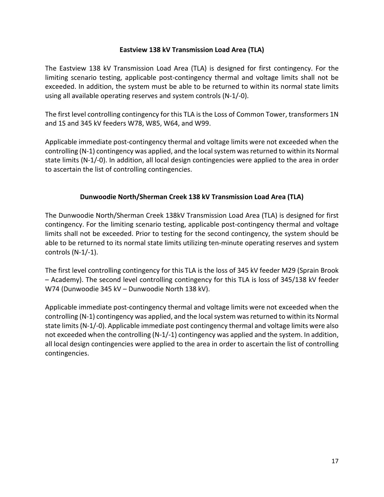#### **Eastview 138 kV Transmission Load Area (TLA)**

The Eastview 138 kV Transmission Load Area (TLA) is designed for first contingency. For the limiting scenario testing, applicable post-contingency thermal and voltage limits shall not be exceeded. In addition, the system must be able to be returned to within its normal state limits using all available operating reserves and system controls (N-1/-0).

The first level controlling contingency for this TLA is the Loss of Common Tower, transformers 1N and 1S and 345 kV feeders W78, W85, W64, and W99.

Applicable immediate post-contingency thermal and voltage limits were not exceeded when the controlling (N-1) contingency was applied, and the local system wasreturned to within its Normal state limits (N-1/-0). In addition, all local design contingencies were applied to the area in order to ascertain the list of controlling contingencies.

#### **Dunwoodie North/Sherman Creek 138 kV Transmission Load Area (TLA)**

The Dunwoodie North/Sherman Creek 138kV Transmission Load Area (TLA) is designed for first contingency. For the limiting scenario testing, applicable post-contingency thermal and voltage limits shall not be exceeded. Prior to testing for the second contingency, the system should be able to be returned to its normal state limits utilizing ten-minute operating reserves and system controls (N-1/-1).

The first level controlling contingency for this TLA is the loss of 345 kV feeder M29 (Sprain Brook – Academy). The second level controlling contingency for this TLA is loss of 345/138 kV feeder W74 (Dunwoodie 345 kV – Dunwoodie North 138 kV).

Applicable immediate post-contingency thermal and voltage limits were not exceeded when the controlling (N-1) contingency was applied, and the local system wasreturned to within its Normal state limits(N-1/-0). Applicable immediate post contingency thermal and voltage limits were also not exceeded when the controlling (N-1/-1) contingency was applied and the system. In addition, all local design contingencies were applied to the area in order to ascertain the list of controlling contingencies.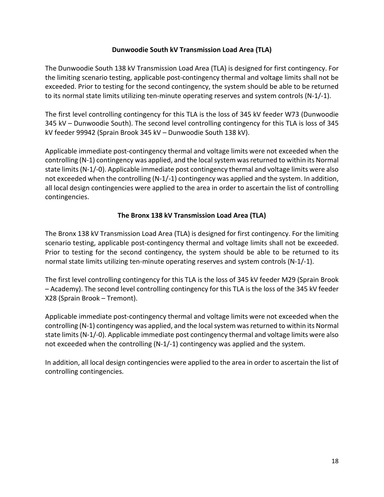#### **Dunwoodie South kV Transmission Load Area (TLA)**

The Dunwoodie South 138 kV Transmission Load Area (TLA) is designed for first contingency. For the limiting scenario testing, applicable post-contingency thermal and voltage limits shall not be exceeded. Prior to testing for the second contingency, the system should be able to be returned to its normal state limits utilizing ten-minute operating reserves and system controls (N-1/-1).

The first level controlling contingency for this TLA is the loss of 345 kV feeder W73 (Dunwoodie 345 kV – Dunwoodie South). The second level controlling contingency for this TLA is loss of 345 kV feeder 99942 (Sprain Brook 345 kV – Dunwoodie South 138 kV).

Applicable immediate post-contingency thermal and voltage limits were not exceeded when the controlling (N-1) contingency was applied, and the local system was returned to within its Normal state limits (N-1/-0). Applicable immediate post contingency thermal and voltage limits were also not exceeded when the controlling (N-1/-1) contingency was applied and the system. In addition, all local design contingencies were applied to the area in order to ascertain the list of controlling contingencies.

#### **The Bronx 138 kV Transmission Load Area (TLA)**

The Bronx 138 kV Transmission Load Area (TLA) is designed for first contingency. For the limiting scenario testing, applicable post-contingency thermal and voltage limits shall not be exceeded. Prior to testing for the second contingency, the system should be able to be returned to its normal state limits utilizing ten-minute operating reserves and system controls (N-1/-1).

The first level controlling contingency for this TLA is the loss of 345 kV feeder M29 (Sprain Brook – Academy). The second level controlling contingency for this TLA is the loss of the 345 kV feeder X28 (Sprain Brook – Tremont).

Applicable immediate post-contingency thermal and voltage limits were not exceeded when the controlling (N-1) contingency was applied, and the local system was returned to within its Normal state limits (N-1/-0). Applicable immediate post contingency thermal and voltage limits were also not exceeded when the controlling (N-1/-1) contingency was applied and the system.

In addition, all local design contingencies were applied to the area in order to ascertain the list of controlling contingencies.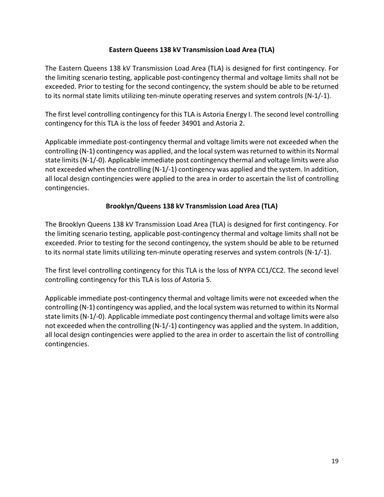#### **Eastern Queens 138 kV Transmission Load Area (TLA)**

The Eastern Queens 138 kV Transmission Load Area (TLA) is designed for first contingency. For the limiting scenario testing, applicable post-contingency thermal and voltage limits shall not be exceeded. Prior to testing for the second contingency, the system should be able to be returned to its normal state limits utilizing ten-minute operating reserves and system controls (N-1/-1).

The first level controlling contingency for this TLA is Astoria Energy I. The second level controlling contingency for this TLA is the loss of feeder 34901 and Astoria 2.

Applicable immediate post-contingency thermal and voltage limits were not exceeded when the controlling (N-1) contingency was applied, and the local system was returned to within its Normal state limits (N-1/-0). Applicable immediate post contingency thermal and voltage limits were also not exceeded when the controlling (N-1/-1) contingency was applied and the system. In addition, all local design contingencies were applied to the area in order to ascertain the list of controlling contingencies.

#### **Brooklyn/Queens 138 kV Transmission Load Area (TLA)**

The Brooklyn Queens 138 kV Transmission Load Area (TLA) is designed for first contingency. For the limiting scenario testing, applicable post-contingency thermal and voltage limits shall not be exceeded. Prior to testing for the second contingency, the system should be able to be returned to its normal state limits utilizing ten-minute operating reserves and system controls (N-1/-1).

The first level controlling contingency for this TLA is the loss of NYPA CC1/CC2. The second level controlling contingency for this TLA is loss of Astoria 5.

Applicable immediate post-contingency thermal and voltage limits were not exceeded when the controlling (N-1) contingency was applied, and the local system was returned to within its Normal state limits (N-1/-0). Applicable immediate post contingency thermal and voltage limits were also not exceeded when the controlling (N-1/-1) contingency was applied and the system. In addition, all local design contingencies were applied to the area in order to ascertain the list of controlling contingencies.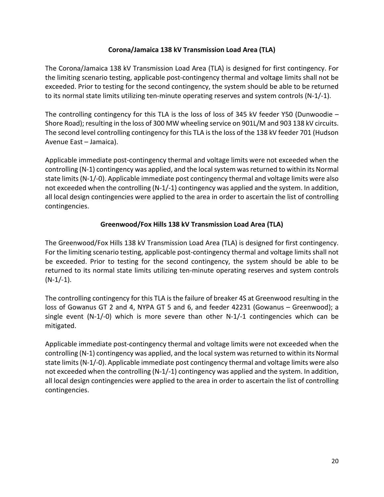#### **Corona/Jamaica 138 kV Transmission Load Area (TLA)**

The Corona/Jamaica 138 kV Transmission Load Area (TLA) is designed for first contingency. For the limiting scenario testing, applicable post-contingency thermal and voltage limits shall not be exceeded. Prior to testing for the second contingency, the system should be able to be returned to its normal state limits utilizing ten-minute operating reserves and system controls (N-1/-1).

The controlling contingency for this TLA is the loss of loss of 345 kV feeder Y50 (Dunwoodie – Shore Road); resulting in the loss of 300 MW wheeling service on 901L/M and 903 138 kV circuits. The second level controlling contingency for this TLA is the loss of the 138 kV feeder 701 (Hudson Avenue East – Jamaica).

Applicable immediate post-contingency thermal and voltage limits were not exceeded when the controlling (N-1) contingency was applied, and the local system was returned to within its Normal state limits (N-1/-0). Applicable immediate post contingency thermal and voltage limits were also not exceeded when the controlling (N-1/-1) contingency was applied and the system. In addition, all local design contingencies were applied to the area in order to ascertain the list of controlling contingencies.

#### **Greenwood/Fox Hills 138 kV Transmission Load Area (TLA)**

The Greenwood/Fox Hills 138 kV Transmission Load Area (TLA) is designed for first contingency. For the limiting scenario testing, applicable post-contingency thermal and voltage limits shall not be exceeded. Prior to testing for the second contingency, the system should be able to be returned to its normal state limits utilizing ten-minute operating reserves and system controls  $(N-1/-1)$ .

The controlling contingency for this TLA is the failure of breaker 4S at Greenwood resulting in the loss of Gowanus GT 2 and 4, NYPA GT 5 and 6, and feeder 42231 (Gowanus – Greenwood); a single event (N-1/-0) which is more severe than other N-1/-1 contingencies which can be mitigated.

Applicable immediate post-contingency thermal and voltage limits were not exceeded when the controlling (N-1) contingency was applied, and the local system was returned to within its Normal state limits (N-1/-0). Applicable immediate post contingency thermal and voltage limits were also not exceeded when the controlling (N-1/-1) contingency was applied and the system. In addition, all local design contingencies were applied to the area in order to ascertain the list of controlling contingencies.